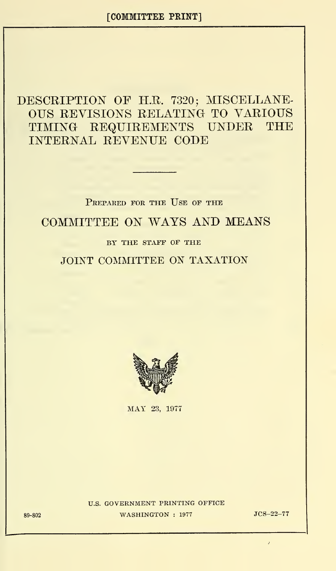DESCRIPTION OF H.R. 7320; MISCELLANE-OUS REVISIONS RELATING TO VARIOUS TIMING REQUIREMENTS UNDER THE INTERNAL REVENUE CODE

# PREPARED FOR THE USE OF THE COMMITTEE ON WAYS AND MEANS BY THE STAFF OF THE JOINT COMMITTEE ON TAXATION



MAY 23, <sup>1977</sup>

U.S. GOVERNMENT PRINTING OFFICE 89-802 WASHINGTON : <sup>1977</sup> JCS-22-77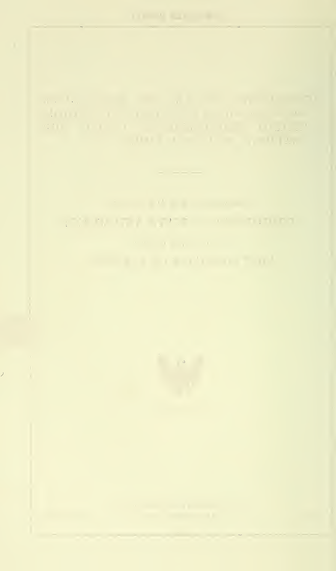$\mathcal{X} \subset \mathbb{R}^n$  . The set of  $\mathcal{X} \subset \mathbb{R}^n$  , we have a set of the set of  $\mathcal{X}$ 

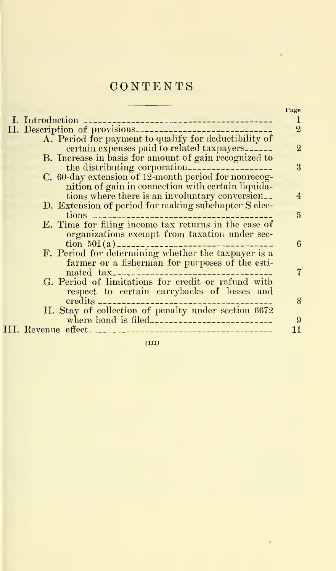# CONTENTS

|                                                       | Page           |
|-------------------------------------------------------|----------------|
| I. Introduction                                       |                |
|                                                       | $\overline{2}$ |
| A. Period for payment to qualify for deductibility of |                |
| certain expenses paid to related taxpayers            | $\overline{2}$ |
| B. Increase in basis for amount of gain recognized to |                |
| the distributing corporation                          | 3              |
| C. 60-day extension of 12-month period for nonrecog-  |                |
| nition of gain in connection with certain liquida-    |                |
|                                                       |                |
| tions where there is an involuntary conversion        | 4              |
| D. Extension of period for making subchapter S elec-  |                |
| $tions$ <sub>-----</sub>                              | $\frac{5}{2}$  |
| E. Time for filing income tax returns in the case of  |                |
| organizations exempt from taxation under sec-         |                |
| tion $501(a)$ -----                                   | 6              |
| F. Period for determining whether the taxpayer is a   |                |
| farmer or a fisherman for purposes of the esti-       |                |
| $mated$ $tax$ --------                                | 7              |
| G. Period of limitations for credit or refund with    |                |
| respect to certain carrybacks of losses and           |                |
| $\alpha$ credits $\alpha$ .                           | 8              |
| H. Stay of collection of penalty under section 6672   |                |
|                                                       | 9              |
|                                                       |                |
|                                                       |                |

 $(III)$ 

J.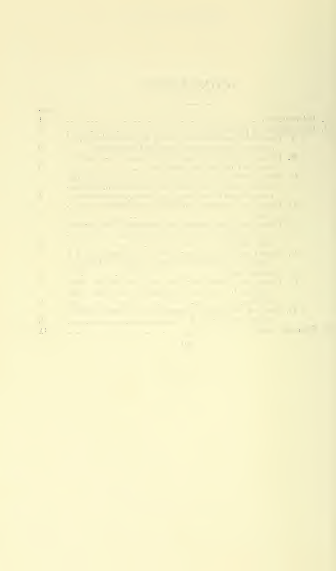# $\mathbf{v} = \mathbf{v}$  $\mathcal{L} = \mathcal{L} \times \mathcal{L} \times \mathcal{L}$ L.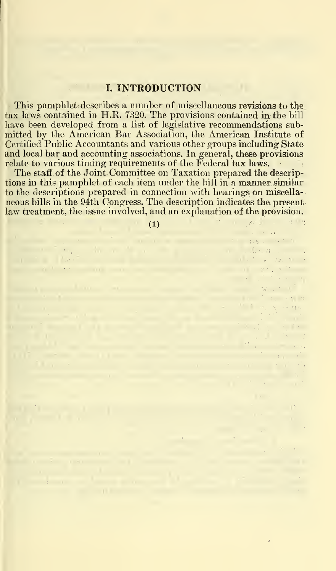## I. INTRODUCTION

This pamphlet describes a number of miscellaneous revisions to the tax laws contained in H.R. 7320, The provisions contained in the bill have been developed from a list of legislative recommendations submitted by the American Bar Association, the American Institute of Certified Public Accountants and various other groups including State and local bar and accounting associations. In general, these provisions relate to various timing requirements of the Federal tax laws.

The staff of the Joint Committee on Taxation prepared the descriptions in this pamphlet of each item under the bill in a manner similar to the descriptions prepared in connection with hearings on miscella neous bills in the 94th Congress. The description indicates the present law treatment, the issue involved, and an explanation of the provision.

 $\begin{pmatrix} 1 & 0 & 0 \\ 0 & 0 & 0 \\ 0 & 0 & 0 \end{pmatrix}$ 

the first contract of the contract of the contract of

 $\label{eq:1.1} \mathcal{N}(\mathbf{x}) = \mathcal{N}(\mathbf{x}) = \mathcal{N}(\mathbf{x}) = \mathcal{N}(\mathbf{x})$ 

the contract of the contract of the contract of

**Contract Contract Street Contract Contract Contract** State of the Con-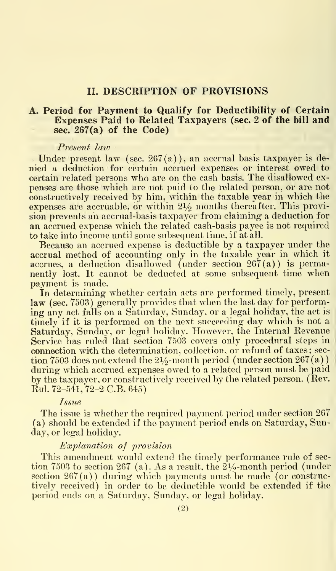#### II. DESCRIPTION OF PROVISIONS

#### A. Period for Payraent to Qualify for Deductibility of Certain Expenses Paid to Related Taxpayers (sec. 2 of the bill and sec. 267(a) of the Code)

#### Present law

Under present law (sec.  $267(a)$ ), an accrual basis taxpayer is denied a deduction for certain accrued expenses or interest owed to certain related persons who are on the cash basis. The disallowed ex penses are those which are not paid to the related person, or are not constructively received by him, within the taxable year in which the expenses are accruable, or within  $2\frac{1}{2}$  months thereafter. This provision prevents an accrual-basis taxpayer from claiming a deduction for an accrued expense which the related cash-basis payee is not required to take into income until some subsequent time, if at all.

Because an accrued expense is deductible by a taxpayer under the accrual method of accounting only in the taxable year in which it accrues, a deduction disallowed (under section  $267(a)$ ) is permanently lost. It cannot be deducted at some subsequent time when payment is made.

In determining whether certain acts are performed timely, present law (sec. 7503) generally provides that when the last day for performing any act falls on a Saturday, Sunday, or a legal holiday, the act is timely if it is performed on the next succeeding day which is not a Saturday, Sunday, or legal holiday. However, the Internal Kevenue Service has ruled that section 7503 covers only procedural steps in connection with the determination, collection, or refund of taxes; sec tion 7503 does not extend the  $21/2$ -month period (under section  $267(a)$ ) during which accrued expenses owed to <sup>a</sup> related person must be paid by the taxpayer, or constructively received by the related person. (Rev.  $Ru1.72-541.72-2 C.B. 645)$ 

#### Issue

The issue is whether the required payment period under section 267 (a) should be extended if the payment period ends on Saturday, Sunday, or legal holiday.

#### Explanation of provision

This amendment would extend the timely performance rule of section 7503 to section 267 (a). As a result, the  $2\frac{1}{2}$ -month period (under section  $267(a)$ ) during which payments must be made (or constructively received) in order to be deductible would be extended if the period ends on a Saturday, Sunday, or legal holiday.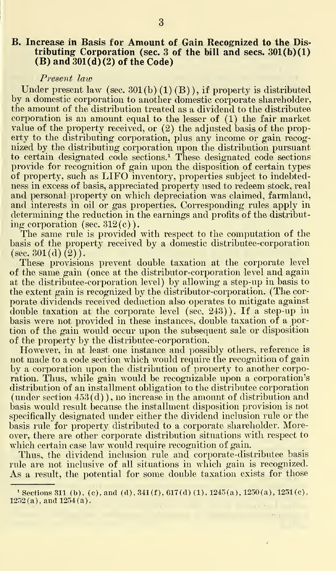#### B. Increase in Basis for Amount of Gain Recognized to the Distributing Corporation (sec. 3 of the bill and secs.  $301(b)(1)$  $(B)$  and  $301(d)(2)$  of the Code)

#### Present law

Under present law (sec.  $301(b)(1)(B)$ ), if property is distributed by a domestic corporation to another domestic corporate shareholder, the amount of the distribution treated as a dividend to the distributee corporation is an amount equal to the lesser of (1) the fair market value of the property received, or (2) the adjusted basis of the property to the distributing corporation, plus any income or gain recog nized by the distributing corporation upon the distribution pursuant to certain designated code sections.^ These designated code sections provide for recognition of gain upon the disposition of certain types of property, such as LIFO inventory, properties subject to indebtedness in excess of basis, appreciated property used to redeem stock, real and personal property on which depreciation was claimed, farmland, and interests in oil or gas properties. Corresponding rules apply in determining the reduction in the earnings and profits of the distributing corporation (sec.  $312(c)$ ).

The same rule is provided with respect to the computation of the basis of the property received by a domestic distributee-corporation (sec.  $301(d)(2)$ ).

These provisions prevent double taxation at the corporate level of the same gain (once at the distributor-corporation level and again at the distributee-corporation level) by allowing a step-up in basis to the extent gain is recognized by the distributor-corporation. (The cor porate dividends received deduction also operates to mitigate against double taxation at the corporate level (sec. 243)). If a step-up in basis were not provided in these instances, double taxation of a portion of the gain would occur upon the subsequent sale or disposition of the property by the distributee-corporation.

However, in at least one instance and possibly others, reference is not made to a code section which would require the recognition of gain by a corporation upon the distribution of property to another corporation. Thus, while gain would be recognizable upon a corporation's distribution of an installment obligation to the distributee corporation (under section  $453(d)$ ), no increase in the amount of distribution and basis would result because the installment disposition provision is not specifically designated under either the dividend inclusion rule or the basis rule for property distributed to a corporate shareholder. Moreover, there are other corporate distribution situations with respect to which certain case law would require recognition of gain.

Thus., the dividend inclusion rule and corporate-distributee basis rule are not inclusive of all situations in which gain is recognized. As a result, the potential for some double taxation exists for those

<sup>&</sup>lt;sup>1</sup> Sections 311 (b), (c), and (d), 341(f), 617(d) (1), 1245(a), 1250(a), 1251(c),  $1252(a)$ , and  $1254(a)$ .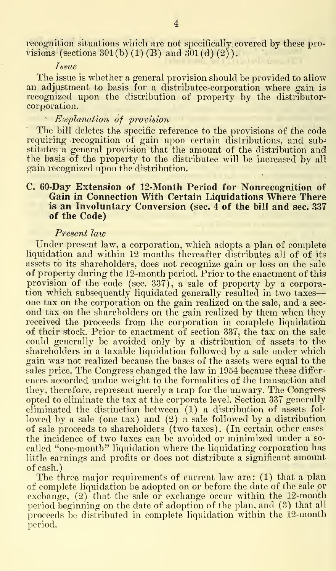#### Issue

The issue is whether a general provision should be provided to allow an adjustment to basis for a distributee-corporation where gain is recognized upon the distribution of property by the distributorcorporation.

#### Explanation of provision

The bill deletes the specific reference to the provisions of the code requiring recognition of gain upon certain distributions, and substitutes a general provision that the amount of the distribution and the basis of the property to the distributee will be increased by all gain recognized upon the distribution.

#### C. 60-Day Extension of 12-Month Period for Nonrecognition of Gain in Connection With Certain Liquidations Where There is an Involuntary Conversion (sec. 4 of the bill and sec. 337 of the Code)

#### Present lam

Under present law, a corporation, which adopts a plan of complete liquidation and within 12 months thereafter distributes all of of its assets to its shareholders, does not recognize gain or loss on the sale of property during the 12-month period. Prior to the enactment of this provision of the code (sec. 337), a sale of property by a corporation which subsequently liquidated generally resulted in two taxes one tax on the corporation on the gain realized on the sale, and a sec ond tax on the shareholders on the gain realized by them when they received the proceeds from the corporation in complete liquidation of their stock. Prior to enactment of section 337, the tax on the sale could generally be avoided only by a distribution of assets to the shareholders in a taxable liquidation followed by a sale under which gain was not realized because the bases of the assets were equal to the sales price. The Congress changed the law in 1954 because these differ ences accorded undue weight to the formalities of the transaction and they, therefore, represent merely a trap for the unwary. The Congress opted to eliminate the tax at the corporate level. Section 337 generally eliminated the distinction between (1) a distribution of assets fob lowed by a sale (one tax) and (2) a sale followed by a distribution of sale proceeds to shareholders (two taxes). (In certain other cases the incidence of two taxes can be avoided or minimized under a so called "one-month" liquidation where the liquidating corporation has little earnings and profits or does not distribute a significant amount of cash.)

The three major requirements of current law are: (1) that a plan of complete liquidation be adopted on or before the date of the sale or exchange, (2) that the sale or exchange occur within the 12-month period beginning on the date of adoption of the plan, and (3) that all proceeds be distributed in complete liquidation within the 12-month period.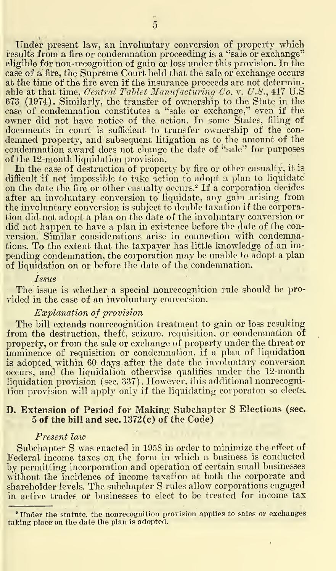Under present law, an involuntary conversion of property which results from a fire or condemnation proceeding is a "sale or exchange" eligible for non-recognition of gain or loss under this provision. In the case of a fire, the Supreme Court held that the sale or exchange occurs at the time of the fire even if the insurance proceeds are not determinable at that time, Central Tablet Manufacturing Co. v. U.S.,  $417$  U.S 673 (1974). Similarly, the transfer of ownership to the State in the case of condemnation constitutes a "sale or exchange," even if the owner did not have notice of the action. In some States, filing of documents in court is sufficient to transfer ownership of the con demned property, and subsequent litigation as to the amount of the condemnation award does not change the date of "sale" for purposes of the 12-month liquidation provision.

In the case of destruction of property by fire or other casualty, it is difficult if not impossible to take action to adopt a plan to liquidate on the date the fire or other casualty occurs.^ If a corporation decides after an involuntary conversion to liquidate, any gain arising from the involuntary conversion is subject to double taxation if the corporation did not adopt a plan on the date of the involuntary conversion or did not happen to have a plan in existence before the date of the conversion. Similar considerations arise in connection with condemnations. To the extent that the taxpayer has little knowledge of an impending condemnation, the corporation may be unable to adopt a plan of liquidation on or before the date of the condemnation.

#### Issue

The issue is whether a special nonrecognition rule should be provided in the case of an involuntary conversion.

#### Explanation of provision

The bill extends nonrecognition treatment to gain or loss resulting from the destruction, theft, seizure, requisition, or condemnation of property, or from the sale or exchange of property under the threat or imminence of requisition or condemnation, if a plan of liquidation is adopted within 60 days after the date the involuntary conversion occurs, and the liquidation otherwise qualifies under the 12-month liquidation provision (sec. 337) , However, this additional nonrecognition provision will apply only if the liquidating corporaton so elects.

### D. Extension of Period for Making Subchapter S Elections (sec. 5 of the bill and sec. 1372(c) of the Code)

#### Present law

Subchapter S was enacted in 1958 in order to minimize the effect of Federal income taxes on the form in which a business is conducted by permitting incorporation and operation of certain small businesses without the incidence of income taxation at both the corporate and shareholder levels. The subchapter S rules allow corporations engaged in active trades or businesses to elect to be treated for income tax

<sup>&</sup>lt;sup>2</sup> Under the statute, the nonrecognition provision applies to sales or exchanges taking place on the date the plan is adopted.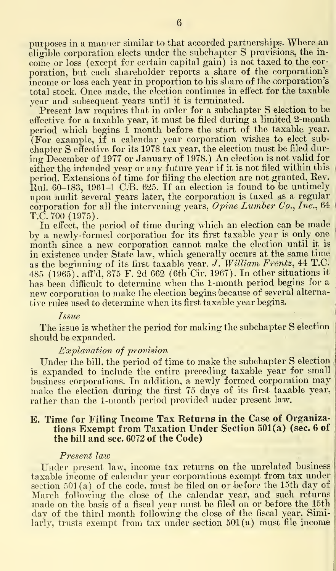purposes in <sup>a</sup> manner similar to that accorded partnerships. Where an eligible corporation elects under the subchapter S provisions, the in come or loss (except for certain capital gain) is not taxed to the cor poration, but each shareholder reports a share of the corporation's income or loss each year in proportion to his share of the corporation's total stock. Once made, the election continues in effect for the taxable year and subsequent years until it is terminated.

Present law requires that in order for a subchapter S election to be effective for a taxable year, it must be filed during a limited 2-month period which begins 1 month before the start of the taxable year. (For example, if a calendar year corporation wishes to elect subchapter S effective for its 1978 tax year, the election must be filed during December of <sup>1977</sup> or January of 1978.) An election is not valid for either the intended year or any future year if it is not filed within this period. Extensions of time for filing the election are not granted. Kev. Eul. 60-183, 1961-1 C.B. 625. If an election is found to be untimely upon audit several years later, the corporation is taxed as a regular corporation for all the intervening years, Opine Lumber Co., Inc., 64 T.C. 700 (1975).

In effect, the period of time during which an election can be made by a newly-formed corporation for its first taxable year is only one month since a new corporation cannot make the election until it is in existence under State law, which generally occurs at the same time as the beginning of its first taxable year. J. William Frentz, 44 T.C. 485 (1965), aff'd, 375 F. 2d 662 (6th Cir. 1967). In other situations it has been difficult to determine when the 1-month period begins for a new corporation to make the election begins because of several alternative rules used to determine when its first taxable year begins.

#### $I\overline{s}sue$

The issue is whether the period for making the subchapter S election should be expanded.

#### Explanation of provision

Under the bill, the period of time to make the subchapter S election is expanded to include the entire preceding taxable year for small business corporations. In addition, <sup>a</sup> newly formed corporation may make the election during the first 75 days of its first taxable year, rather than the 1-month period provided under present law.

#### E. Time for Filing Income Tax Returns in the Case of Organizations Exempt from Taxation Under Section 501(a) (sec. 6 of the bill and sec. 6072 of the Code)

#### Present law

Under present law, income tax returns on the unrelated business taxable income of calendar year corporations exempt from tax under section 501 (a) of the code, must be filed on or before the 15th day of March following the close of the calendar year, and such returns made on the basis of a fiscal year must be filed on or before the 15th day of the third month following the close of the fiscal year. Similarly, trusts exempt from tax under section 501 (a) must file income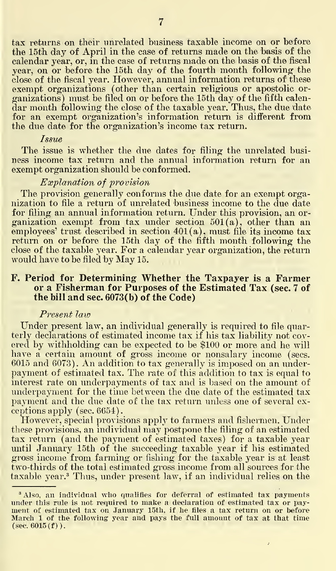tax returns on their unrelated business taxable income on or before the 15th day of April in the case of returns made on the basis of the calendar year, or, in the case of returns made on the basis of the fiscal year, on or before the 15th day of the fourth month following the close of the fiscal year. However, annual information returns of these exempt organizations (other than certain religious or apostolic or ganizations) must be filed on or before the 15th day of the fifth calendar month following the close of the taxable year. Thus, the due date for an exempt organization's information return is different from the due date for the organization's income tax return.

#### **Issue**

The issue is whether the due dates for filing the unrelated busi ness income tax return and the annual information return for an exempt organization should be conformed.

#### Explanation of provision

The provision generally conforms the due date for an exempt organization to file a return of unrelated business income to the due date for filing an annual information return. Under this provision, an or ganization exempt from tax under section 501(a), other than an employees' trust described in section 401(a), must file its income tax return on or before the 15th day of the fifth month following the close of the taxable year. For a calendar year organization, the return would have to be filed by May 15.

#### F. Period for Determining Whether the Taxpayer is a Farmer or a Fisherman for Purposes of the Estimated Tax (sec. 7 of the bill and sec. 6073(b) of the Code)

#### Present *law*

Under present law, an individual generally is required to file quarterly declarations of estimated income tax if his tax liability not cov ered by withholding can be expected to be \$100 or more and he will have a certain amount of gross income or nonsalary income (secs. 6015 and 6073). An addition to tax generally is imposed on an underpayment of estimated tax. The rate of this addition to tax is equal to interest rate on underpayments of tax and is based on the amount of underpayment for the time between the due date of the estimated tax payment and the due date of the tax return unless one of several ex ceptions apply (sec. 6654).

However, special provisions apply to farmers and fishermen. Under these provisions, an individual may postpone the filing of an estimated tax return (and the payment of estimated taxes) for a taxable year until January 15th of the succeeding taxable year if his estimated gross income from farming or fishing for the taxable year is at least two-thirds of the total estimated gross income from all sources for the taxable year.<sup>3</sup> Thus, under present law, if an individual relies on the

 $\lambda$ 

 $\,$  Also, an individual who qualifies for deferral of estimated tax payments under this rule is not required to make a declaration of estimated tax or pay ment of estimated tax on January 15th, if he files a tax return on or before March 1 of the following year and pays the full amount of tax at that time (sec.  $6015(f)$ ).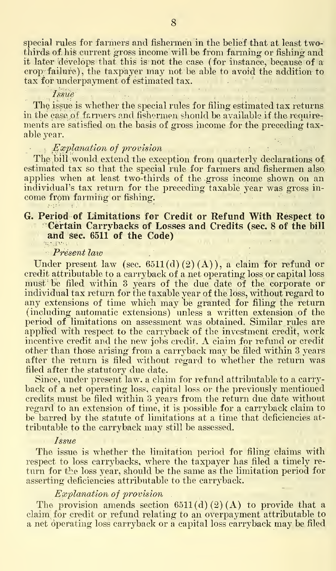special rules for farmers and fishermen in the belief that at least two-' thirds of. his current gross income will be from farming or fishing and it later develops that this is not the case (for instance, because of a crop failure), the taxpayer may not be able to avoid the addition to tax for underpayment of estimated tax.

#### *Issue*

-

The issue is whether the special rules for filing estimated tax returns in the case of farmers and fishermen should be available if the requirements are satisfied on the basis of gross income for the preceding tax able year.

#### $E_x$  Explanation of provision

The bill would extend the exception from quarterly declarations of estimated tax so that the special rule for farmers and fishermen also applies when at least two-thirds of the gross income shown on an individual's tax return for the preceding taxable year was gross in come from farming or fishing.

# G. Period of Limitations for Credit or Refund With Respect to Certain Carrybacks of Losses and Credits (sec. 8 of the bill and sec. 6511 of the Code)

#### • Present law

Under present law (sec.  $6511(d)(2)(A)$ ), a claim for refund or credit attributable to a carryback of a net operating loss or capital loss must be filed within 3 years of the due date of the corporate or individual tax return for the taxable year of the loss, without regard to any extensions of time which may be granted for filing the return (including automatic extensions) unless a written extension of the period of limitations on assessment was obtained. Similar rules are applied with respect to the carryback of the investment credit, work incentive credit and the new jobs credit. A claim for refund or credit other than those arising from a carryback may be filed within 3 years after the return is filed without regard to whether the return was filed after the statutory due date.

Since, under present law, a claim for refund attributable to a carry back of a net operating loss, capital loss or the previously mentioned credits must be filed within 3 years from the return due date without regard to an extension of time, it is possible for a carryback claim to be barred by the statute of limitations at a time that deficiencies at tributable to the carryback may still be assessed.

#### Issue

The issue is whether the limitation period for filing claims with respect to loss carrybacks, where the taxpayer has filed a timely re turn for the loss year, should be the same as the limitation period for asserting deficiencies attributable to the carryback.

#### Explanation of provision

The provision amends section  $6511(d)(2)(A)$  to provide that a claim for credit or refund relating to an overpayment attributable to a net operating loss carryback or a capital loss carryback may be filed.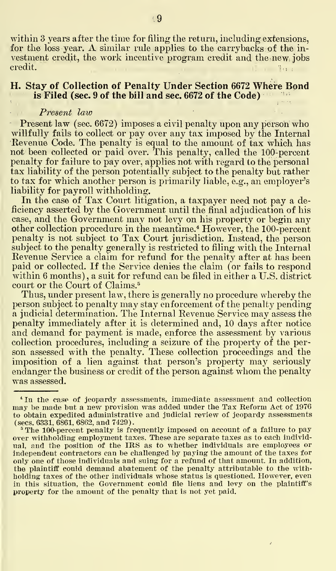within 3 years after the time for filing the return, including extensions, for the loss year. A similar rule applies to the carrybacks of the in vestment credit, the work incentive program credit and the new jobs credit.

# H. Stay of Collection of Penalty Under Section 6672 Where Bond is Filed (sec. 9 of the bill and sec.  $6672$  of the Code)

#### Present law

Present law (sec. 6672) imposes a civil penalty upon any person who willfully fails to collect or pay over any tax imposed by the Internal Revenue Code. The penalty is equal to the amount of tax which has not been collected or paid over. This penalty, called the 100-percent penalty for failure to pay over, applies not with regard to the personal tax liability of the person potentially subject to the penalty but rather to tax for which another person is primarily liable, e.g., an employer's liability for payroll withholding.

In the case of Tax Court litigation, a taxpayer need not pay a deficiency asserted by the Government until the final adjudication of his case, and the Government may not levy on his property or begin any other collection procedure in the meantime.^ However, the 100-percent penalty is not subject to Tax Court jurisdiction. Instead, the person subject to the penalty generally is restricted to filing with the Internal Revenue Service a claim for refund for the penalty after at has been paid or collected. If the Service denies the claim (or fails to respond within 6 months), a suit for refund can be filed in either a U.S. district court or the Court of Claims.<sup>5</sup>

Thus, under present law, there is generally no procedure whereby the person subject to penalty may stay enforcement of the penalty pending a judicial determination. The Internal Revenue Service may assess the penalty immediately after it is determined and, 10 days after notice and demand for payment is made, enforce the assessment by various collection procedures, including a seizure of the property of the per son assessed with the penalty. These collection proceedings and the imposition of a lien against that person's property may seriously endanger the business or credit of the person against whom the penalty was assessed.

<sup>\*</sup> In the case of jeopardy assessments, immediate assessment and collection may be made but <sup>a</sup> new provision was added under the Tax Reform Act of <sup>1976</sup> to obtain expedited administrative and judicial review of jeopardy assessments (sees. 6331, 6861, 6862, and 7429).

<sup>&</sup>lt;sup>5</sup> The 100-percent penalty is frequently imposed on account of a failure to pay over withholding employment taxes. These are separate taxes as to each individual, and the position of the IRS as to whether individuals are employees or independent contractors can be challenged by paying the amount of the taxes for only one of those individuals and suing for a refund of that amount. In addition, the plaintiff could demand abatement of the penalty attributable to the with holding taxes of the other individuals whose status is questioned. However, even in this situation, the Government could file liens and levy on the plaintiff's property for the amount of the penalty that is not yet paid.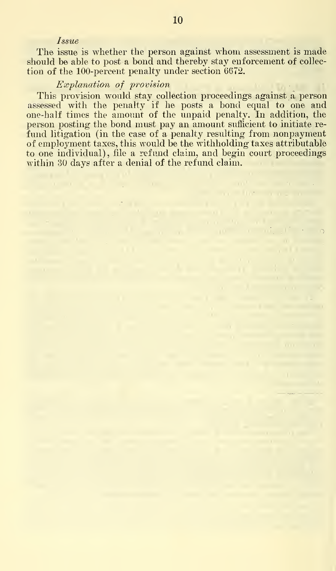#### Issue

The issue is whether the person against whom assessment is made should be able to post a bond and thereby stay enforcement of collec tion of the 100-percent penalty under section 6672.

## Explanation of provision

This provision would stay collection proceedings against a person assessed with the penalty if he posts a bond equal to one and one-half times the amount of the unpaid penalty. In addition, the person posting the bond must pay an amount sufficient to initiate re fund litigation (in the case of a penalty resulting from nonpayment of employment taxes, this would be the withholding taxes attributable to one individual), file a refund claim, and begin court proceedings within 30 days after a denial of the refund claim.

the same time and a state of the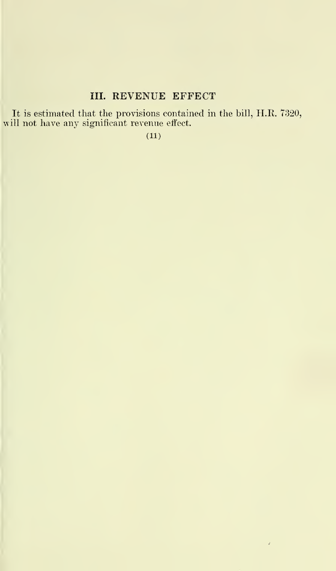# III. REVENUE EFFECT

It is estimated that the provisions contained in the bill,  $H.R.$   $7320,\,$ will not have any significant revenue effect.

(11)

 $\bar{\bar{z}}$